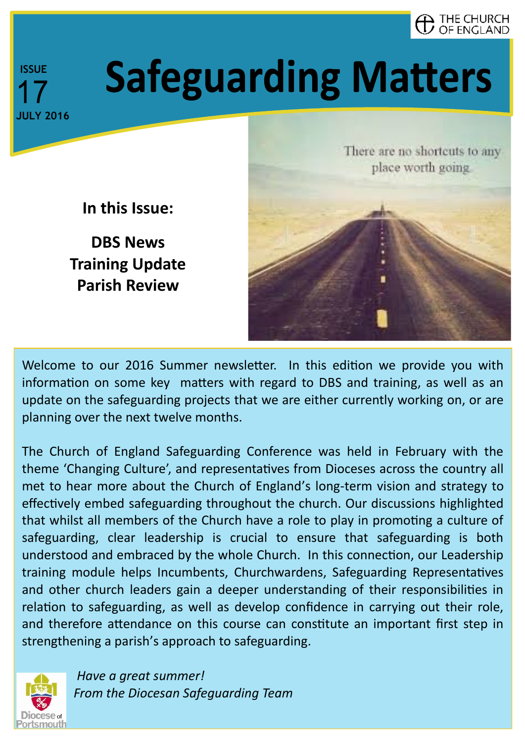

# **Safeguarding Matters**

**In this Issue:**

**DBS News Training Update Parish Review**



Welcome to our 2016 Summer newsletter. In this edition we provide you with information on some key matters with regard to DBS and training, as well as an update on the safeguarding projects that we are either currently working on, or are planning over the next twelve months.

The Church of England Safeguarding Conference was held in February with the theme 'Changing Culture', and representatives from Dioceses across the country all met to hear more about the Church of England's long-term vision and strategy to effectively embed safeguarding throughout the church. Our discussions highlighted that whilst all members of the Church have a role to play in promoting a culture of safeguarding, clear leadership is crucial to ensure that safeguarding is both understood and embraced by the whole Church. In this connection, our Leadership training module helps Incumbents, Churchwardens, Safeguarding Representatives and other church leaders gain a deeper understanding of their responsibilities in relation to safeguarding, as well as develop confidence in carrying out their role, and therefore attendance on this course can constitute an important first step in strengthening a parish's approach to safeguarding.



*Have a great summer! From the Diocesan Safeguarding Team*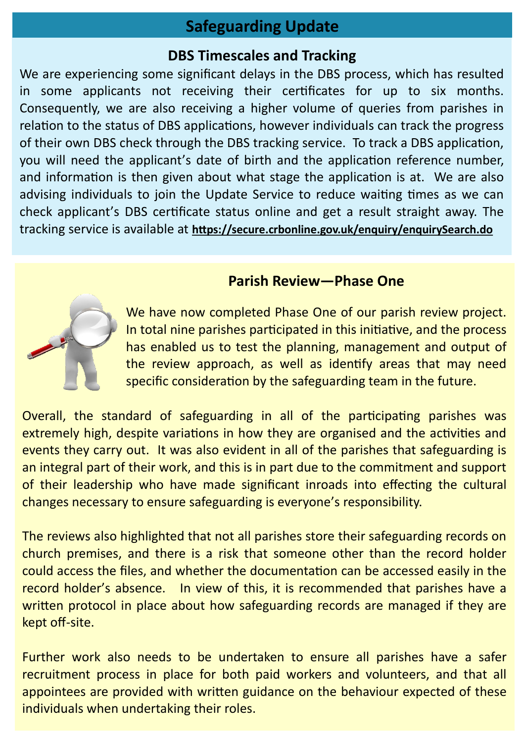# **Safeguarding Update**

# **DBS Timescales and Tracking**

We are experiencing some significant delays in the DBS process, which has resulted in some applicants not receiving their certificates for up to six months. Consequently, we are also receiving a higher volume of queries from parishes in relation to the status of DBS applications, however individuals can track the progress of their own DBS check through the DBS tracking service. To track a DBS application, you will need the applicant's date of birth and the application reference number, and information is then given about what stage the application is at. We are also advising individuals to join the Update Service to reduce waiting times as we can check applicant's DBS certificate status online and get a result straight away. The tracking service is available at **<https://secure.crbonline.gov.uk/enquiry/enquirySearch.do>**

# **Parish Review—Phase One**

[W](http://www.google.co.uk/url?sa=i&rct=j&q=&esrc=s&source=images&cd=&cad=rja&uact=8&ved=0ahUKEwiAh9Dusr7NAhXhDMAKHdQkBJIQjRwIBw&url=http%3A%2F%2Fwww.muli.biz%2Ffeat%2FPr.Op.%2FProject%2520Review%2520Cost%2520-%2520Processes&psig=AFQjCNG6VziJyEklGa6G_z5tZyn)e have now completed Phase One of our parish review project. In total nine parishes participated in this initiative, and the process has enabled us to test the planning, management and output of the review approach, as well as identify areas that may need specific consideration by the safeguarding team in the future.

Overall, the standard of safeguarding in all of the participating parishes was extremely high, despite variations in how they are organised and the activities and events they carry out. It was also evident in all of the parishes that safeguarding is an integral part of their work, and this is in part due to the commitment and support of their leadership who have made significant inroads into effecting the cultural changes necessary to ensure safeguarding is everyone's responsibility.

The reviews also highlighted that not all parishes store their safeguarding records on church premises, and there is a risk that someone other than the record holder could access the files, and whether the documentation can be accessed easily in the record holder's absence. In view of this, it is recommended that parishes have a written protocol in place about how safeguarding records are managed if they are kept off-site.

Further work also needs to be undertaken to ensure all parishes have a safer recruitment process in place for both paid workers and volunteers, and that all appointees are provided with written guidance on the behaviour expected of these individuals when undertaking their roles.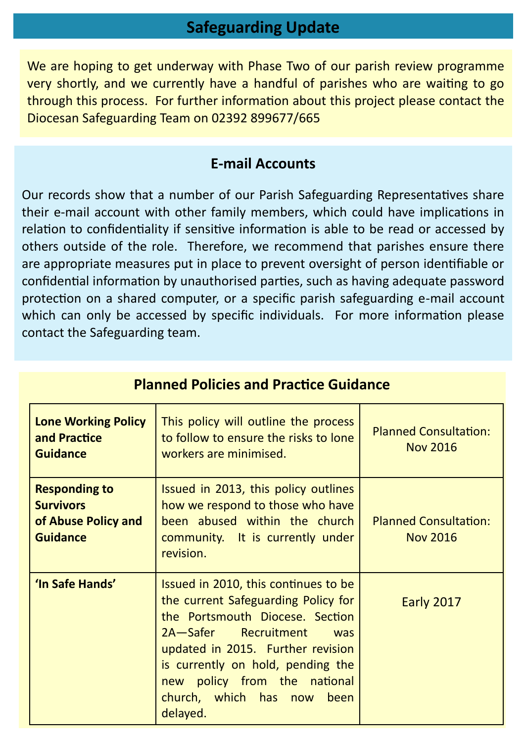# **Safeguarding Update**

We are hoping to get underway with Phase Two of our parish review programme very shortly, and we currently have a handful of parishes who are waiting to go through this process. For further information about this project please contact the Diocesan Safeguarding Team on 02392 899677/665

## **E-mail Accounts**

Our records show that a number of our Parish Safeguarding Representatives share their e-mail account with other family members, which could have implications in relation to confidentiality if sensitive information is able to be read or accessed by others outside of the role. Therefore, we recommend that parishes ensure there are appropriate measures put in place to prevent oversight of person identifiable or confidential information by unauthorised parties, such as having adequate password protection on a shared computer, or a specific parish safeguarding e-mail account which can only be accessed by specific individuals. For more information please contact the Safeguarding team.

| <b>Lone Working Policy</b><br>and Practice<br><b>Guidance</b>                      | This policy will outline the process<br>to follow to ensure the risks to lone<br>workers are minimised.                                                                                                                                                                                           | <b>Planned Consultation:</b><br><b>Nov 2016</b> |
|------------------------------------------------------------------------------------|---------------------------------------------------------------------------------------------------------------------------------------------------------------------------------------------------------------------------------------------------------------------------------------------------|-------------------------------------------------|
| <b>Responding to</b><br><b>Survivors</b><br>of Abuse Policy and<br><b>Guidance</b> | Issued in 2013, this policy outlines<br>how we respond to those who have<br>been abused within the church<br>community. It is currently under<br>revision.                                                                                                                                        | <b>Planned Consultation:</b><br><b>Nov 2016</b> |
| 'In Safe Hands'                                                                    | Issued in 2010, this continues to be<br>the current Safeguarding Policy for<br>the Portsmouth Diocese. Section<br>2A-Safer Recruitment<br>was<br>updated in 2015. Further revision<br>is currently on hold, pending the<br>new policy from the national<br>church, which has now been<br>delayed. | Early 2017                                      |

# **Planned Policies and Practice Guidance**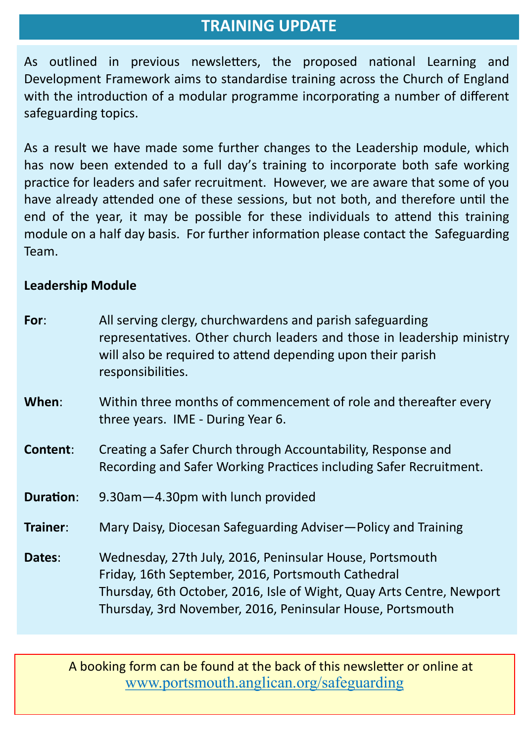# **TRAINING UPDATE**

As outlined in previous newsletters, the proposed national Learning and Development Framework aims to standardise training across the Church of England with the introduction of a modular programme incorporating a number of different safeguarding topics.

As a result we have made some further changes to the Leadership module, which has now been extended to a full day's training to incorporate both safe working practice for leaders and safer recruitment. However, we are aware that some of you have already attended one of these sessions, but not both, and therefore until the end of the year, it may be possible for these individuals to attend this training module on a half day basis. For further information please contact the Safeguarding Team.

#### **Leadership Module**

| For:             | All serving clergy, churchwardens and parish safeguarding<br>representatives. Other church leaders and those in leadership ministry<br>will also be required to attend depending upon their parish<br>responsibilities.                               |
|------------------|-------------------------------------------------------------------------------------------------------------------------------------------------------------------------------------------------------------------------------------------------------|
| When:            | Within three months of commencement of role and thereafter every<br>three years. IME - During Year 6.                                                                                                                                                 |
| Content:         | Creating a Safer Church through Accountability, Response and<br>Recording and Safer Working Practices including Safer Recruitment.                                                                                                                    |
| <b>Duration:</b> | 9.30am-4.30pm with lunch provided                                                                                                                                                                                                                     |
| Trainer:         | Mary Daisy, Diocesan Safeguarding Adviser—Policy and Training                                                                                                                                                                                         |
| Dates:           | Wednesday, 27th July, 2016, Peninsular House, Portsmouth<br>Friday, 16th September, 2016, Portsmouth Cathedral<br>Thursday, 6th October, 2016, Isle of Wight, Quay Arts Centre, Newport<br>Thursday, 3rd November, 2016, Peninsular House, Portsmouth |

 A booking form can be found at the back of this newsletter or online at [www.portsmouth.anglican.org/safeguarding](http://portsmouth.anglican.org/safeguarding)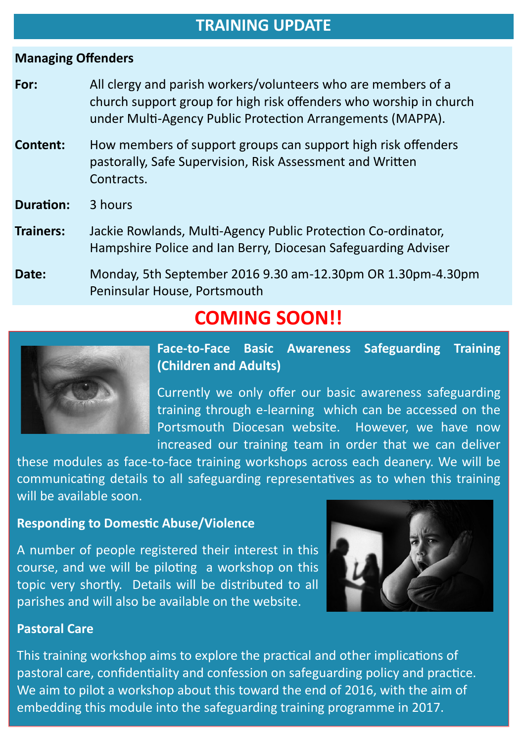### **TRAINING UPDATE**

#### **Managing Offenders**

- **For:** All clergy and parish workers/volunteers who are members of a church support group for high risk offenders who worship in church under Multi-Agency Public Protection Arrangements (MAPPA).
- **Content:** How members of support groups can support high risk offenders pastorally, Safe Supervision, Risk Assessment and Written Contracts.
- **Duration:** 3 hours
- **Trainers:** Jackie Rowlands, Multi-Agency Public Protection Co-ordinator, Hampshire Police and Ian Berry, Diocesan Safeguarding Adviser
- **Date:** Monday, 5th September 2016 9.30 am-12.30pm OR 1.30pm-4.30pm Peninsular House, Portsmouth

# **COMING SOON!!**



**Face-to-Face Basic Awareness Safeguarding Training (Children and Adults)** 

Currently we only offer our basic awareness safeguarding training through e-learning which can be accessed on the Portsmouth Diocesan website. However, we have now increased our training team in order that we can deliver

these modules as face-to-face training workshops across each deanery. We will be communicating details to all safeguarding representatives as to when this training will be available soon.

#### **Responding to Domestic Abuse/Violence**

A number of people registered their interest in this course, and we will be piloting a workshop on this topic very shortly. Details will be distributed to all parishes and will also be available on the website.



#### **Pastoral Care**

This training workshop aims to explore the practical and other implications of pastoral care, confidentiality and confession on safeguarding policy and practice. We aim to pilot a workshop about this toward the end of 2016, with the aim of embedding this module into the safeguarding training programme in 2017.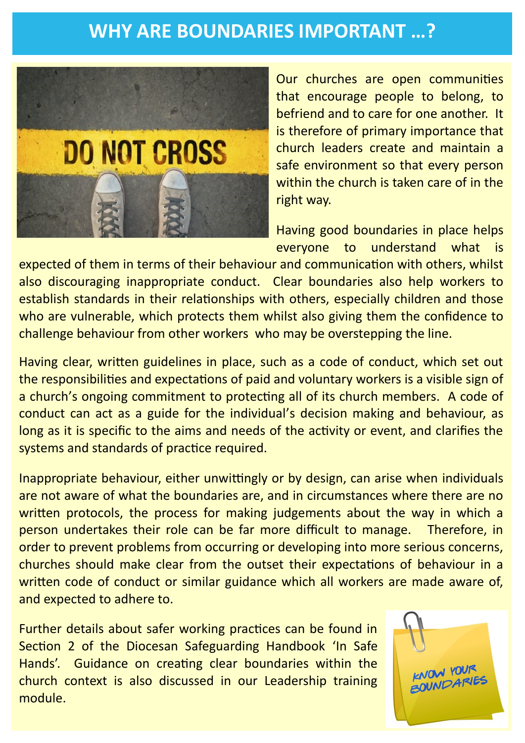# **WHY ARE BOUNDARIES IMPORTANT …?**



Our churches are open communities that encourage people to belong, to befriend and to care for one another. It is therefore of primary importance that church leaders create and maintain a safe environment so that every person within the church is taken care of in the right way.

Having good boundaries in place helps everyone to understand what is

expected of them in terms of their behaviour and communication with others, whilst also discouraging inappropriate conduct. Clear boundaries also help workers to establish standards in their relationships with others, especially children and those who are vulnerable, which protects them whilst also giving them the confidence to challenge behaviour from other workers who may be overstepping the line.

Having clear, written guidelines in place, such as a code of conduct, which set out the responsibilities and expectations of paid and voluntary workers is a visible sign of a church's ongoing commitment to protecting all of its church members. A code of conduct can act as a guide for the individual's decision making and behaviour, as long as it is specific to the aims and needs of the activity or event, and clarifies the systems and standards of practice required.

Inappropriate behaviour, either unwittingly or by design, can arise when individuals are not aware of what the boundaries are, and in circumstances where there are no written protocols, the process for making judgements about the way in which a person undertakes their role can be far more difficult to manage. Therefore, in order to prevent problems from occurring or developing into more serious concerns, churches should make clear from the outset their expectations of behaviour in a written code of conduct or similar guidance which all workers are made aware of, and expected to adhere to.

Further details about safer working practices can be found in Section 2 of the Diocesan Safeguarding Handbook 'In Safe Hands'. Guidance on creating clear boundaries within the church context is also discussed in our Leadership training module.